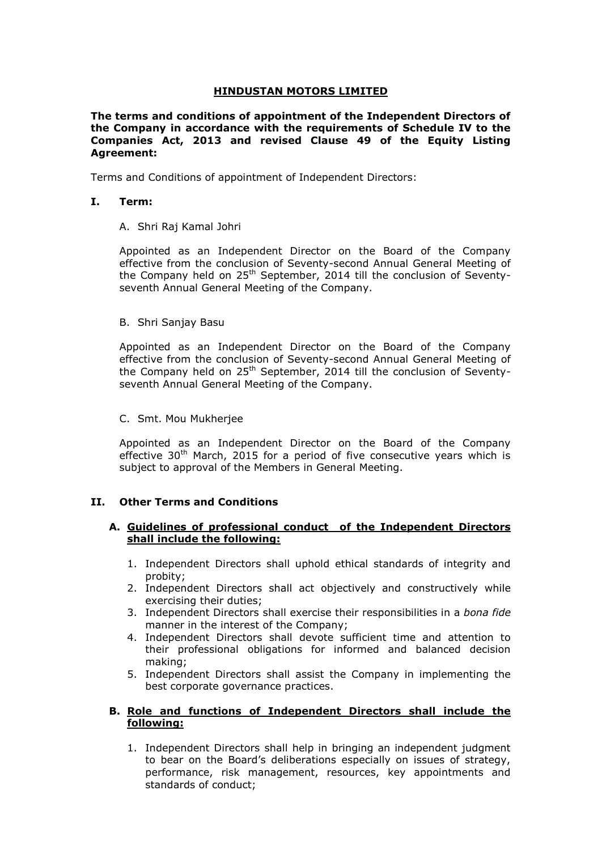# **HINDUSTAN MOTORS LIMITED**

**The terms and conditions of appointment of the Independent Directors of the Company in accordance with the requirements of Schedule IV to the Companies Act, 2013 and revised Clause 49 of the Equity Listing Agreement:**

Terms and Conditions of appointment of Independent Directors:

# **I. Term:**

## A. Shri Raj Kamal Johri

Appointed as an Independent Director on the Board of the Company effective from the conclusion of Seventy-second Annual General Meeting of the Company held on  $25<sup>th</sup>$  September, 2014 till the conclusion of Seventyseventh Annual General Meeting of the Company.

## B. Shri Sanjay Basu

Appointed as an Independent Director on the Board of the Company effective from the conclusion of Seventy-second Annual General Meeting of the Company held on 25<sup>th</sup> September, 2014 till the conclusion of Seventyseventh Annual General Meeting of the Company.

## C. Smt. Mou Mukherjee

Appointed as an Independent Director on the Board of the Company effective  $30<sup>th</sup>$  March, 2015 for a period of five consecutive years which is subject to approval of the Members in General Meeting.

## **II. Other Terms and Conditions**

## **A. Guidelines of professional conduct of the Independent Directors shall include the following:**

- 1. Independent Directors shall uphold ethical standards of integrity and probity;
- 2. Independent Directors shall act objectively and constructively while exercising their duties;
- 3. Independent Directors shall exercise their responsibilities in a *bona fide*  manner in the interest of the Company;
- 4. Independent Directors shall devote sufficient time and attention to their professional obligations for informed and balanced decision making;
- 5. Independent Directors shall assist the Company in implementing the best corporate governance practices.

## **B. Role and functions of Independent Directors shall include the following:**

1. Independent Directors shall help in bringing an independent judgment to bear on the Board's deliberations especially on issues of strategy, performance, risk management, resources, key appointments and standards of conduct;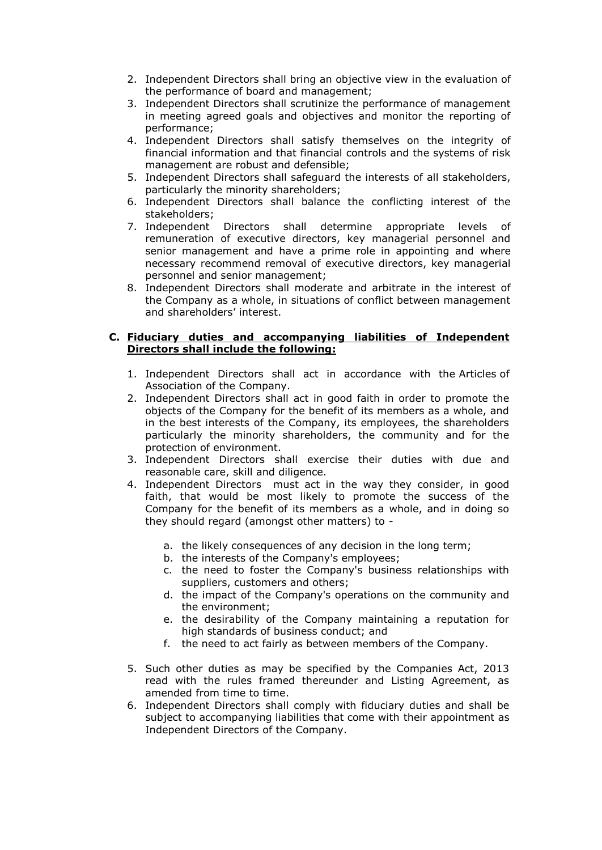- 2. Independent Directors shall bring an objective view in the evaluation of the performance of board and management;
- 3. Independent Directors shall scrutinize the performance of management in meeting agreed goals and objectives and monitor the reporting of performance;
- 4. Independent Directors shall satisfy themselves on the integrity of financial information and that financial controls and the systems of risk management are robust and defensible;
- 5. Independent Directors shall safeguard the interests of all stakeholders, particularly the minority shareholders;
- 6. Independent Directors shall balance the conflicting interest of the stakeholders;
- 7. Independent Directors shall determine appropriate levels remuneration of executive directors, key managerial personnel and senior management and have a prime role in appointing and where necessary recommend removal of executive directors, key managerial personnel and senior management;
- 8. Independent Directors shall moderate and arbitrate in the interest of the Company as a whole, in situations of conflict between management and shareholders' interest.

# **C. Fiduciary duties and accompanying liabilities of Independent Directors shall include the following:**

- 1. Independent Directors shall act in accordance with the [Articles](javascript:openwindow() of Association of the Company.
- 2. Independent Directors shall act in good faith in order to promote the objects of the Company for the benefit of its members as a whole, and in the best interests of the Company, its employees, the shareholders particularly the minority shareholders, the community and for the protection of environment.
- 3. Independent Directors shall exercise their duties with due and reasonable care, skill and diligence.
- 4. Independent Directors must act in the way they consider, in good faith, that would be most likely to promote the success of the Company for the benefit of its members as a whole, and in doing so they should regard (amongst other matters) to
	- a. the likely consequences of any decision in the long term;
	- b. the interests of the Company's employees;
	- c. the need to foster the Company's business relationships with suppliers, customers and others;
	- d. the impact of the Company's operations on the community and the environment;
	- e. the desirability of the Company maintaining a reputation for high standards of business conduct; and
	- f. the need to act fairly as between members of the Company.
- 5. Such other duties as may be specified by the Companies Act, 2013 read with the rules framed thereunder and Listing Agreement, as amended from time to time.
- 6. Independent Directors shall comply with fiduciary duties and shall be subject to accompanying liabilities that come with their appointment as Independent Directors of the Company.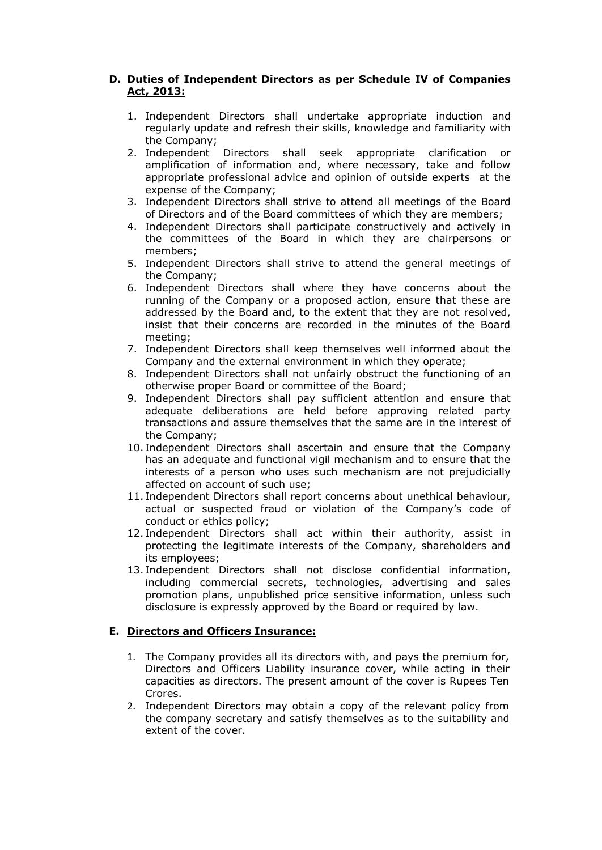# **D. Duties of Independent Directors as per Schedule IV of Companies Act, 2013:**

- 1. Independent Directors shall undertake appropriate induction and regularly update and refresh their skills, knowledge and familiarity with the Company;
- 2. Independent Directors shall seek appropriate clarification or amplification of information and, where necessary, take and follow appropriate professional advice and opinion of outside experts at the expense of the Company;
- 3. Independent Directors shall strive to attend all meetings of the Board of Directors and of the Board committees of which they are members;
- 4. Independent Directors shall participate constructively and actively in the committees of the Board in which they are chairpersons or members;
- 5. Independent Directors shall strive to attend the general meetings of the Company;
- 6. Independent Directors shall where they have concerns about the running of the Company or a proposed action, ensure that these are addressed by the Board and, to the extent that they are not resolved, insist that their concerns are recorded in the minutes of the Board meeting;
- 7. Independent Directors shall keep themselves well informed about the Company and the external environment in which they operate;
- 8. Independent Directors shall not unfairly obstruct the functioning of an otherwise proper Board or committee of the Board;
- 9. Independent Directors shall pay sufficient attention and ensure that adequate deliberations are held before approving related party transactions and assure themselves that the same are in the interest of the Company;
- 10. Independent Directors shall ascertain and ensure that the Company has an adequate and functional vigil mechanism and to ensure that the interests of a person who uses such mechanism are not prejudicially affected on account of such use;
- 11. Independent Directors shall report concerns about unethical behaviour, actual or suspected fraud or violation of the Company's code of conduct or ethics policy;
- 12. Independent Directors shall act within their authority, assist in protecting the legitimate interests of the Company, shareholders and its employees;
- 13. Independent Directors shall not disclose confidential information, including commercial secrets, technologies, advertising and sales promotion plans, unpublished price sensitive information, unless such disclosure is expressly approved by the Board or required by law.

# **E. Directors and Officers Insurance:**

- 1. The Company provides all its directors with, and pays the premium for, Directors and Officers Liability insurance cover, while acting in their capacities as directors. The present amount of the cover is Rupees Ten Crores.
- 2. Independent Directors may obtain a copy of the relevant policy from the company secretary and satisfy themselves as to the suitability and extent of the cover.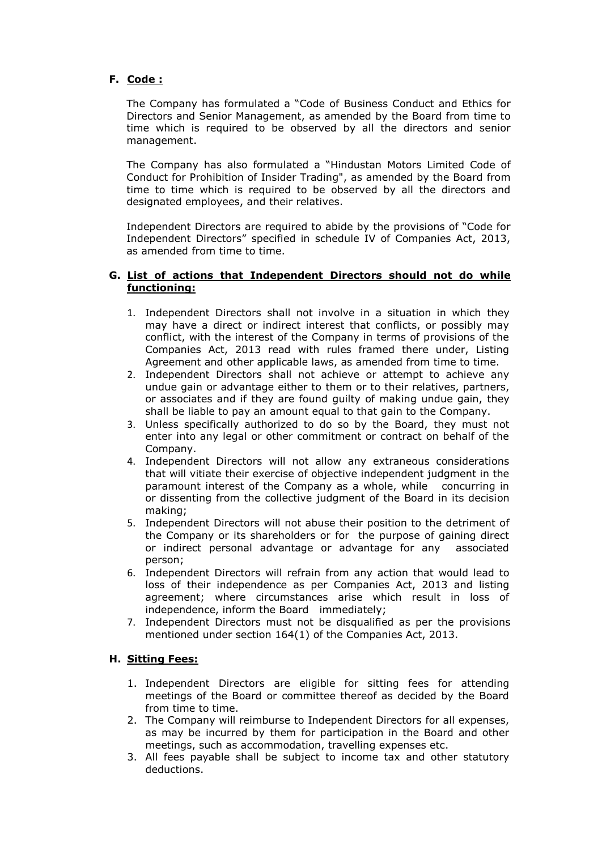# **F. Code :**

The Company has formulated a "Code of Business Conduct and Ethics for Directors and Senior Management, as amended by the Board from time to time which is required to be observed by all the directors and senior management.

The Company has also formulated a "Hindustan Motors Limited Code of Conduct for Prohibition of Insider Trading", as amended by the Board from time to time which is required to be observed by all the directors and designated employees, and their relatives.

Independent Directors are required to abide by the provisions of "Code for Independent Directors" specified in schedule IV of Companies Act, 2013, as amended from time to time.

#### **G. List of actions that Independent Directors should not do while functioning:**

- 1. Independent Directors shall not involve in a situation in which they may have a direct or indirect interest that conflicts, or possibly may conflict, with the interest of the Company in terms of provisions of the Companies Act, 2013 read with rules framed there under, Listing Agreement and other applicable laws, as amended from time to time.
- 2. Independent Directors shall not achieve or attempt to achieve any undue gain or advantage either to them or to their relatives, partners, or associates and if they are found guilty of making undue gain, they shall be liable to pay an amount equal to that gain to the Company.
- 3. Unless specifically authorized to do so by the Board, they must not enter into any legal or other commitment or contract on behalf of the Company.
- 4. Independent Directors will not allow any extraneous considerations that will vitiate their exercise of objective independent judgment in the paramount interest of the Company as a whole, while concurring in or dissenting from the collective judgment of the Board in its decision making;
- 5. Independent Directors will not abuse their position to the detriment of the Company or its shareholders or for the purpose of gaining direct or indirect personal advantage or advantage for any associated person;
- 6. Independent Directors will refrain from any action that would lead to loss of their independence as per Companies Act, 2013 and listing agreement; where circumstances arise which result in loss of independence, inform the Board immediately;
- 7. Independent Directors must not be disqualified as per the provisions mentioned under section 164(1) of the Companies Act, 2013.

# **H. Sitting Fees:**

- 1. Independent Directors are eligible for sitting fees for attending meetings of the Board or committee thereof as decided by the Board from time to time.
- 2. The Company will reimburse to Independent Directors for all expenses, as may be incurred by them for participation in the Board and other meetings, such as accommodation, travelling expenses etc.
- 3. All fees payable shall be subject to income tax and other statutory deductions.